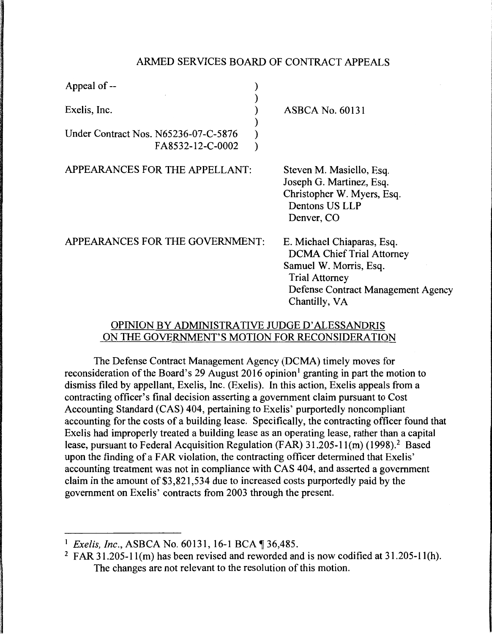#### ARMED SERVICES BOARD OF CONTRACT APPEALS

| Appeal of --                                             |                                                                                                                                                                          |
|----------------------------------------------------------|--------------------------------------------------------------------------------------------------------------------------------------------------------------------------|
| Exelis, Inc.                                             | <b>ASBCA No. 60131</b>                                                                                                                                                   |
| Under Contract Nos. N65236-07-C-5876<br>FA8532-12-C-0002 |                                                                                                                                                                          |
| APPEARANCES FOR THE APPELLANT:                           | Steven M. Masiello, Esq.<br>Joseph G. Martinez, Esq.<br>Christopher W. Myers, Esq.<br>Dentons US LLP<br>Denver, CO                                                       |
| APPEARANCES FOR THE GOVERNMENT:                          | E. Michael Chiaparas, Esq.<br><b>DCMA Chief Trial Attorney</b><br>Samuel W. Morris, Esq.<br><b>Trial Attorney</b><br>Defense Contract Management Agency<br>Chantilly, VA |

# OPINION BY ADMINISTRATIVE JUDGE D' ALESSANDRIS ON THE GOVERNMENT'S MOTION FOR RECONSIDERATION

The Defense Contract Management Agency (DCMA) timely moves for reconsideration of the Board's 29 August 2016 opinion<sup>1</sup> granting in part the motion to dismiss filed by appellant, Exelis, Inc. (Exelis ). In this action, Exelis appeals from a contracting officer's final decision asserting a government claim pursuant to Cost Accounting Standard (CAS) 404, pertaining to Exelis' purportedly noncompliant accounting for the costs of a building lease. Specifically, the contracting officer found that Exelis had improperly treated a building lease as an operating lease, rather than a capital lease, pursuant to Federal Acquisition Regulation (FAR) 31.205-11(m) (1998).<sup>2</sup> Based upon the finding of a FAR violation, the contracting officer determined that Exelis' accounting treatment was not in compliance with CAS 404, and asserted a government claim in the amount of \$3,821,534 due to increased costs purportedly paid by the government on Exelis' contracts from 2003 through the present.

<sup>&</sup>lt;sup>1</sup> *Exelis, Inc., ASBCA No.* 60131, 16-1 BCA ¶ 36,485.

<sup>&</sup>lt;sup>2</sup> FAR 31.205-11(m) has been revised and reworded and is now codified at  $31.205$ -11(h). The changes are not relevant to the resolution of this motion.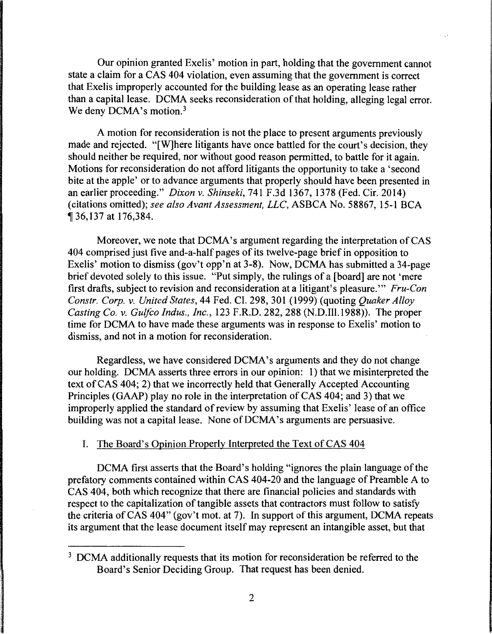Our opinion granted Exelis' motion in part, holding that the government cannot state a claim for a CAS 404 violation, even assuming that the government is correct that Exelis improperly accounted for the building lease as an operating lease rather than a capital lease. DCMA seeks reconsideration of that holding, alleging legal error. We deny  $DCMA$ 's motion.<sup>3</sup>

A motion for reconsideration is not the place to present arguments previously made and rejected. "[W]here litigants have once battled for the court's decision, they should neither be required, nor without good reason permitted, to battle for it again. Motions for reconsideration do not afford litigants the opportunity to take a 'second bite at the apple' or to advance arguments that properly should have been presented in an earlier proceeding." *Dixon* v. *Shinseki,* 741 F.3d 1367, 1378 (Fed. Cir. 2014) (citations omitted); *see also Avant Assessment, LLC,* ASBCA No. 58867, 15-1 BCA <sup>~</sup>36,137 at 176,384.

Moreover, we note that DCMA's argument regarding the interpretation of CAS 404 comprised just five and-a-half pages of its twelve-page brief in opposition to Exelis' motion to dismiss (gov't opp'n at 3-8). Now, DCMA has submitted a 34-page brief devoted solely to this issue. "Put simply, the rulings of a [board] are not 'mere first drafts, subject to revision and reconsideration at a litigant's pleasure."' *Fru-Con Constr. Corp.* v. *United States,* 44 Fed. Cl. 298, 301 (1999) (quoting *Quaker Alloy Casting Co.* v. *Gulfco Indus., Inc.,* 123 F.R.D. 282, 288 (N.D.Ill.1988)). The proper time for DCMA to have made these arguments was in response to Exelis' motion to dismiss, and not in a motion for reconsideration.

Regardless, we have considered DCMA's arguments and they do not change our holding. DCMA asserts three errors in our opinion: 1) that we misinterpreted the text of CAS 404; 2) that we incorrectly held that Generally Accepted Accounting Principles (GAAP) play no role in the interpretation of CAS 404; and 3) that we improperly applied the standard of review by assuming that Exelis' lease of an office building was not a capital lease. None of DCMA's arguments are persuasive.

#### I. The Board's Opinion Properly Interpreted the Text of CAS 404

DCMA first asserts that the Board's holding "ignores the plain language of the prefatory comments contained within CAS 404-20 and the language of Preamble A to CAS 404, both which recognize that there are financial policies and standards with respect to the capitalization of tangible assets that contractors must follow to satisfy the criteria of CAS 404" (gov't mot. at 7). In support of this argument, DCMA repeats its argument that the lease document itself may represent an intangible asset, but that

<sup>&</sup>lt;sup>3</sup> DCMA additionally requests that its motion for reconsideration be referred to the Board's Senior Deciding Group. That request has been denied.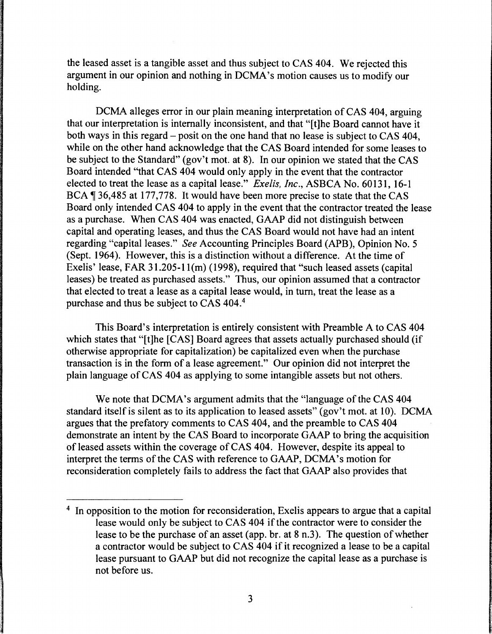the leased asset is a tangible asset and thus subject to CAS 404. We rejected this argument in our opinion and nothing in DCMA's motion causes us to modify our holding.

DCMA alleges error in our plain meaning interpretation of CAS 404, arguing that our interpretation is internally inconsistent, and that "[t]he Board cannot have it both ways in this regard - posit on the one hand that no lease is subject to CAS 404, while on the other hand acknowledge that the CAS Board intended for some leases to be subject to the Standard" (gov't mot. at 8). In our opinion we stated that the CAS Board intended "that CAS 404 would only apply in the event that the contractor elected to treat the lease as a capital lease." *Exe/is, Inc.,* ASBCA No. 60131, 16-1 BCA  $\parallel$  36,485 at 177,778. It would have been more precise to state that the CAS Board only intended CAS 404 to apply in the event that the contractor treated the lease as a purchase. When CAS 404 was enacted, GAAP did not distinguish between capital and operating leases, and thus the CAS Board would not have had an intent regarding "capital leases." *See* Accounting Principles Board (APB), Opinion No. 5 (Sept. 1964). However, this is a distinction without a difference. At the time of Exelis' lease, FAR 31.205-1 l(m) (1998), required that "such leased assets (capital leases) be treated as purchased assets." Thus, our opinion assumed that a contractor that elected to treat a lease as a capital lease would, in tum, treat the lease as a purchase and thus be subject to CAS 404.4

This Board's interpretation is entirely consistent with Preamble A to CAS 404 which states that "[t]he [CAS] Board agrees that assets actually purchased should (if otherwise appropriate for capitalization) be capitalized even when the purchase transaction is in the form of a lease agreement." Our opinion did not interpret the plain language of CAS 404 as applying to some intangible assets but not others.

We note that DCMA's argument admits that the "language of the CAS 404 standard itself is silent as to its application to leased assets" (gov't mot. at 10). DCMA argues that the prefatory comments to CAS 404, and the preamble to CAS 404 demonstrate an intent by the CAS Board to incorporate GAAP to bring the acquisition of leased assets within the coverage of CAS 404. However, despite its appeal to interpret the terms of the CAS with reference to GAAP, DCMA's motion for reconsideration completely fails to address the fact that GAAP also provides that

<sup>&</sup>lt;sup>4</sup> In opposition to the motion for reconsideration, Exelis appears to argue that a capital lease would only be subject to CAS 404 if the contractor were to consider the lease to be the purchase of an asset (app. br. at 8 n.3). The question of whether a contractor would be subject to CAS 404 if it recognized a lease to be a capital lease pursuant to GAAP but did not recognize the capital lease as a purchase is not before us.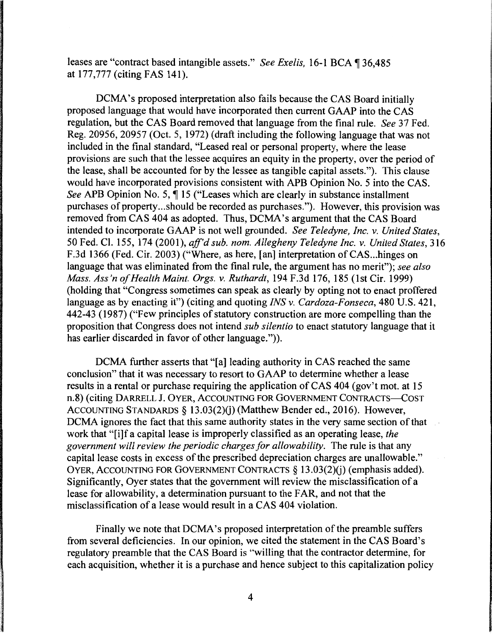leases are "contract based intangible assets." *See Exelis*, 16-1 BCA ¶ 36,485 at 177,777 (citing FAS 141).

DCMA's proposed interpretation also fails because the CAS Board initially proposed language that would have incorporated then current GAAP into the CAS regulation, but the CAS Board removed that language from the final rule. *See* 37 Fed. Reg. 20956, 20957 (Oct. 5, 1972) (draft including the following language that was not included in the final standard, "Leased real or personal property, where the lease provisions are such that the lessee acquires an equity in the property, over the period of the lease, shall be accounted for by the lessee as tangible capital assets.") This clause would have incorporated provisions consistent with APB Opinion No. 5 into the CAS. *See* APB Opinion No. 5,  $\hat{\mathbf{I}}$  15 ("Leases which are clearly in substance installment purchases of property ... should be recorded as purchases."). However, this provision was removed from CAS 404 as adopted. Thus, DCMA's argument that the CAS Board intended to incorporate GAAP is not well grounded. *See Teledyne, Inc. v. United States,*  50 Fed. Cl. 155, 174 (2001), *ajf'd sub. nom. Allegheny Teledyne Inc. v. United States,* 316 F.3d 1366 (Fed. Cir. 2003) ("Where, as here, [an] interpretation of CAS ... hinges on language that was eliminated from the final rule, the argument has no merit"); *see also Mass. Ass'n of Health Maint. Orgs. v. Ruthardt,* 194 F.3d 176, 185 (1st Cir. 1999) (holding that "Congress sometimes can speak as clearly by opting not to enact proffered language as by enacting it") (citing and quoting *INS v. Cardoza-Fonseca,* 480 U.S. 421, 442-43 (1987) ("Few principles of statutory construction are more compelling than the proposition that Congress does not intend *sub silentio* to enact statutory language that it has earlier discarded in favor of other language.")).

DCMA further asserts that "[a] leading authority in CAS reached the same conclusion" that it was necessary to resort to GAAP to determine whether a lease results in a rental or purchase requiring the application of CAS 404 (gov't mot. at 15 n.8) (citing DARRELL J. OYER, ACCOUNTING FOR GOVERNMENT CONTRACTS-COST ACCOUNTING STANDARDS § 13.03(2)(i) (Matthew Bender ed., 2016). However, DCMA ignores the fact that this same authority states in the very same section of that work that "[i]f a capital lease is improperly classified as an operating lease, *the*  government will review the periodic charges for allowability. The rule is that any capital lease costs in excess of the prescribed depreciation charges are unallowable." OYER, ACCOUNTING FOR GOVERNMENT CONTRACTS  $\delta$  13.03(2)(i) (emphasis added). Significantly, Oyer states that the government will review the misclassification of a lease for allowability, a determination pursuant to the FAR, and not that the misclassification of a lease would result in a CAS 404 violation.

Finally we note that DCMA's proposed interpretation of the preamble suffers from several deficiencies. In our opinion, we cited the statement in the CAS Board's regulatory preamble that the CAS Board is "willing that the contractor determine, for each acquisition, whether it is a purchase and hence subject to this capitalization policy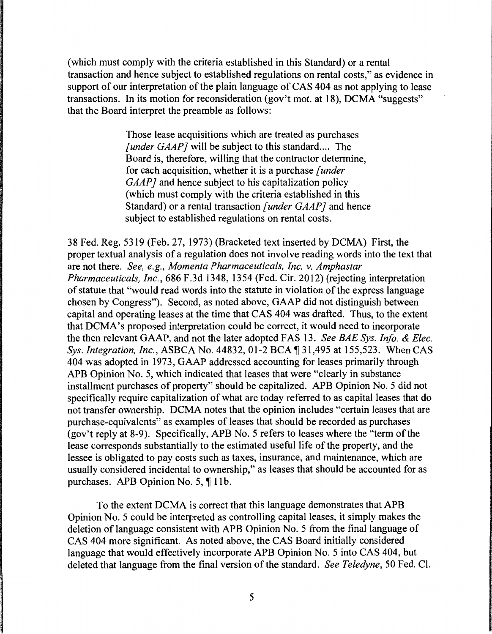(which must comply with the criteria established in this Standard) or a rental transaction and hence subject to established regulations on rental costs," as evidence in support of our interpretation of the plain language of CAS 404 as not applying to lease transactions. In its motion for reconsideration (gov't mot. at 18), DCMA "suggests" that the Board interpret the preamble as follows:

> Those lease acquisitions which are treated as purchases *[under GAAP]* will be subject to this standard.... The Board is, therefore, willing that the contractor determine, for each acquisition, whether it is a purchase *[under GAAP*] and hence subject to his capitalization policy (which must comply with the criteria established in this Standard) or a rental transaction *[under GAAP]* and hence subject to established regulations on rental costs.

38 Fed. Reg. 5319 (Feb. 27, 1973) (Bracketed text inserted by DCMA) First, the proper textual analysis of a regulation does not involve reading words into the text that are not there. *See, e.g., Momenta Pharmaceuticals, Inc. v. Amphastar Pharmaceuticals, Inc.,* 686 F.3d 1348, 1354 (Fed. Cir. 2012) (rejecting interpretation of statute that "would read words into the statute in violation of the express language chosen by Congress"). Second, as noted above, GAAP did not distinguish between capital and operating leases at the time that CAS 404 was drafted. Thus, to the extent that DCMA's proposed interpretation could be correct, it would need to incorporate the then relevant GAAP, and not the later adopted FAS 13. *See BAE Sys. Info. & Elec. Sys. Integration, Inc., ASBCA No.* 44832, 01-2 BCA 1 31,495 at 155,523. When CAS 404 was adopted in 1973, GAAP addressed accounting for leases primarily through APB Opinion No. 5, which indicated that leases that were "clearly in substance installment purchases of property" should be capitalized. APB Opinion No. 5 did not specifically require capitalization of what are today referred to as capital leases that do not transfer ownership. DCMA notes that the opinion includes "certain leases that are purchase-equivalents" as examples of leases that should be recorded as purchases (gov't reply at 8-9). Specifically, APB No. 5 refers to leases where the "term of the lease corresponds substantially to the estimated useful life of the property, and the lessee is obligated to pay costs such as taxes, insurance, and maintenance, which are usually considered incidental to ownership," as leases that should be accounted for as purchases. APB Opinion No. 5,  $\P$  11b.

To the extent DCMA is correct that this language demonstrates that APB Opinion No. 5 could be interpreted as controlling capital leases, it simply makes the deletion of language consistent with APB Opinion No. 5 from the final language of CAS 404 more significant. As noted above, the CAS Board initially considered language that would effectively incorporate APB Opinion No. 5 into CAS 404, but deleted that language from the final version of the standard. *See Teledyne,* 50 Fed. Cl.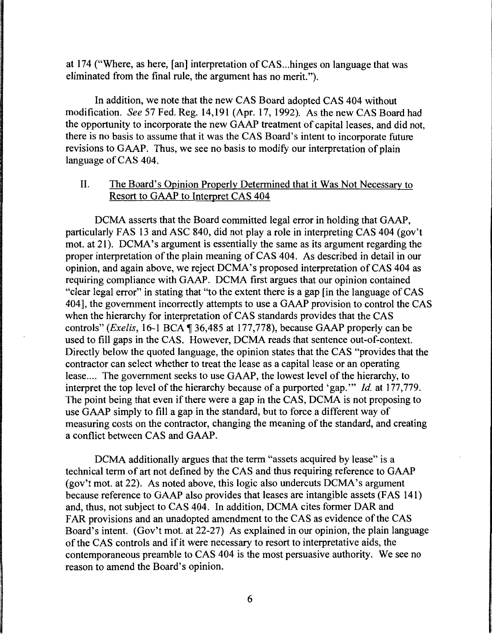at 174 ("Where, as here, [an] interpretation of CAS... hinges on language that was eliminated from the final rule, the argument has no merit.").

In addition, we note that the new CAS Board adopted CAS 404 without modification. See 57 Fed. Reg. 14,191 (Apr. 17, 1992). As the new CAS Board had the opportunity to incorporate the new GAAP treatment of capital leases, and did not, there is no basis to assume that it was the CAS Board's intent to incorporate future revisions to GAAP. Thus, we see no basis to modify our interpretation of plain language of CAS 404.

# II. The Board's Opinion Properly Determined that it Was Not Necessary to Resort to GAAP to Interpret CAS 404

DCMA asserts that the Board committed legal error in holding that GAAP, particularly FAS 13 and ASC 840, did not play a role in interpreting CAS 404 (gov't mot. at 21). DCMA's argument is essentially the same as its argument regarding the proper interpretation of the plain meaning of CAS 404. As described in detail in our opinion, and again above, we reject DCMA's proposed interpretation of CAS 404 as requiring compliance with GAAP. DCMA first argues that our opinion contained "clear legal error" in stating that "to the extent there is a gap [in the language of CAS 404], the government incorrectly attempts to use a GAAP provision to control the CAS when the hierarchy for interpretation of CAS standards provides that the CAS controls" *(Exelis, 16-1 BCA* ¶ 36,485 at 177,778), because GAAP properly can be used to fill gaps in the CAS. However, DCMA reads that sentence out-of-context. Directly below the quoted language, the opinion states that the CAS "provides that the contractor can select whether to treat the lease as a capital lease or an operating lease.... The government seeks to use GAAP, the lowest level of the hierarchy, to interpret the top level of the hierarchy because of a purported 'gap."' *Id.* at 177, 779. The point being that even if there were a gap in the CAS, DCMA is not proposing to use GAAP simply to fill a gap in the standard, but to force a different way of measuring costs on the contractor, changing the meaning of the standard, and creating a conflict between CAS and GAAP.

DCMA additionally argues that the term "assets acquired by lease" is a technical term of art not defined by the CAS and thus requiring reference to GAAP (gov't mot. at 22). As noted above, this logic also undercuts DCMA's argument because reference to GAAP also provides that leases are intangible assets (FAS 141) and, thus, not subject to CAS 404. In addition, DCMA cites former DAR and FAR provisions and an unadopted amendment to the CAS as evidence of the CAS Board's intent. (Gov't mot. at 22-27) As explained in our opinion, the plain language of the CAS controls and if it were necessary to resort to interpretative aids, the contemporaneous preamble to CAS 404 is the most persuasive authority. We see no reason to amend the Board's opinion.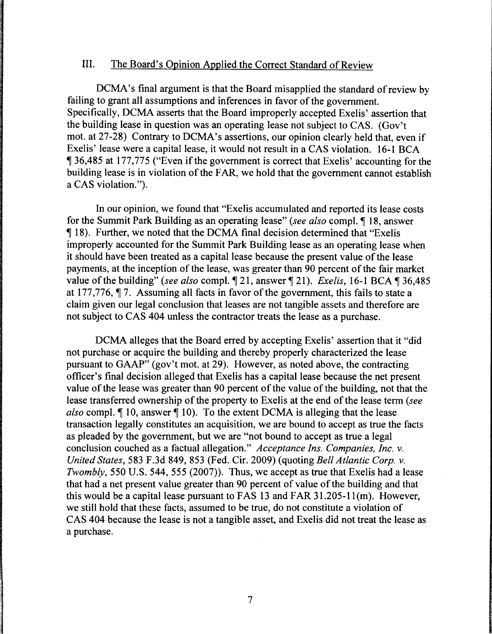# III. The Board's Opinion Applied the Correct Standard of Review

DCMA's final argument is that the Board misapplied the standard of review by failing to grant all assumptions and inferences in favor of the government. Specifically, DCMA asserts that the Board improperly accepted Exelis' assertion that the building lease in question was an operating lease not subject to CAS. (Gov't mot. at 27-28) Contrary to DCMA's assertions, our opinion clearly held that, even if Exelis' lease were a capital lease, it would not result in a CAS violation. 16-1 BCA 136,485 at 177,775 ("Even if the government is correct that Exelis' accounting for the building lease is in violation of the FAR, we hold that the government cannot establish a CAS violation.").

In our opinion, we found that "Exelis accumulated and reported its lease costs for the Summit Park Building as an operating lease" (see also compl. 18, answer ii 18). Further, we noted that the DCMA final decision determined that "Exelis improperly accounted for the Summit Park Building lease as an operating lease when it should have been treated as a capital lease because the present value of the lease payments, at the inception of the lease, was greater than 90 percent of the fair market value of the building" *(see also compl.* 121, answer 121). *Exelis,* 16-1 BCA 136,485 at 177,776,  $\P$  7. Assuming all facts in favor of the government, this fails to state a claim given our legal conclusion that leases are not tangible assets and therefore are not subject to CAS 404 unless the contractor treats the lease as a purchase.

DCMA alleges that the Board erred by accepting Exelis' assertion that it "did not purchase or acquire the building and thereby properly characterized the lease pursuant to GAAP" (gov't mot. at 29). However, as noted above, the contracting officer's final decision alleged that Exelis has a capital lease because the net present value of the lease was greater than 90 percent of the value of the building, not that the lease transferred ownership of the property to Exelis at the end of the lease term *(see also* compl. *[*] 10, answer *[*] 10). To the extent DCMA is alleging that the lease transaction legally constitutes an acquisition, we are bound to accept as true the facts as pleaded by the government, but we are "not bound to accept as true a legal conclusion couched as a factual allegation." *Acceptance Ins. Companies, Inc. v. United States,* 583 F.3d 849, 853 (Fed. Cir. 2009) (quoting *Bell Atlantic Corp. v. Twombly,* 550 U.S. 544, 555 (2007)). Thus, we accept as true that Exelis had a lease that had a net present value greater than 90 percent of value of the building and that this would be a capital lease pursuant to FAS 13 and FAR  $31.205-11$  (m). However, we still hold that these facts, assumed to be true, do not constitute a violation of CAS 404 because the lease is not a tangible asset, and Exelis did not treat the lease as a purchase.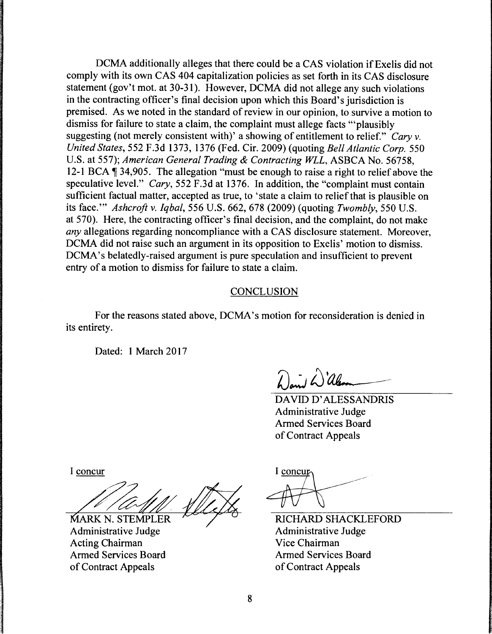DCMA additionally alleges that there could be a CAS violation if Exelis did not comply with its own CAS 404 capitalization policies as set forth in its CAS disclosure statement (gov't mot. at 30-31). However, DCMA did not allege any such violations in the contracting officer's final decision upon which this Board's jurisdiction is premised. As we noted in the standard of review in our opinion, to survive a motion to dismiss for failure to state a claim, the complaint must allege facts "'plausibly suggesting (not merely consistent with)' a showing of entitlement to relief." *Cary v. United States,* 552 F.3d 1373, 1376 (Fed. Cir. 2009) (quoting *Bell Atlantic Corp.* 550 U.S. at 557); *American General Trading* & *Contracting WLL,* ASBCA No. 56758, 12-1 BCA  $\parallel$  34,905. The allegation "must be enough to raise a right to relief above the speculative level." *Cary,* 552 F.3d at 1376. In addition, the "complaint must contain sufficient factual matter, accepted as true, to 'state a claim to relief that is plausible on its face."' *Ashcroft v. Iqbal,* 556 U.S. 662, 678 (2009) (quoting *Twombly,* 550 U.S. at 570). Here, the contracting officer's final decision, and the complaint, do not make *any* allegations regarding noncompliance with a CAS disclosure statement. Moreover, DCMA did not raise such an argument in its opposition to Exelis' motion to dismiss. DCMA's belatedly-raised argument is pure speculation and insufficient to prevent entry of a motion to dismiss for failure to state a claim.

#### CONCLUSION

For the reasons stated above, DCMA's motion for reconsideration is denied in its entirety.

Dated: 1 March 2017

David Will

DA YID D' ALESSANDRIS Administrative Judge Armed Services Board of Contract Appeals

I concur

**MARK N. STEMPLER** 

Administrative Judge Acting Chairman Armed Services Board of Contract Appeals

I concup

RICHARD SHACKLEFORD Administrative Judge Vice Chairman Armed Services Board of Contract Appeals